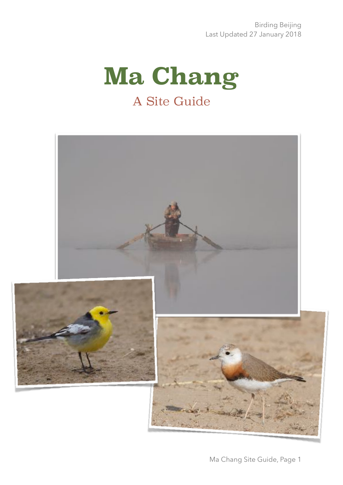# **Ma Chang** A Site Guide

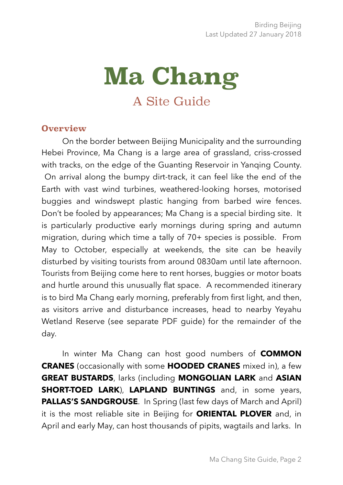# **Ma Chang** A Site Guide

#### **Overview**

On the border between Beijing Municipality and the surrounding Hebei Province, Ma Chang is a large area of grassland, criss-crossed with tracks, on the edge of the Guanting Reservoir in Yanqing County. On arrival along the bumpy dirt-track, it can feel like the end of the Earth with vast wind turbines, weathered-looking horses, motorised buggies and windswept plastic hanging from barbed wire fences. Don't be fooled by appearances; Ma Chang is a special birding site. It is particularly productive early mornings during spring and autumn migration, during which time a tally of 70+ species is possible. From May to October, especially at weekends, the site can be heavily disturbed by visiting tourists from around 0830am until late afternoon. Tourists from Beijing come here to rent horses, buggies or motor boats and hurtle around this unusually flat space. A recommended itinerary is to bird Ma Chang early morning, preferably from first light, and then, as visitors arrive and disturbance increases, head to nearby Yeyahu Wetland Reserve (see separate PDF guide) for the remainder of the day.

In winter Ma Chang can host good numbers of **COMMON CRANES** (occasionally with some **HOODED CRANES** mixed in), a few **GREAT BUSTARDS**, larks (including **MONGOLIAN LARK** and **ASIAN SHORT-TOED LARK**), **LAPLAND BUNTINGS** and, in some years, **PALLAS'S SANDGROUSE.** In Spring (last few days of March and April) it is the most reliable site in Beijing for **ORIENTAL PLOVER** and, in April and early May, can host thousands of pipits, wagtails and larks. In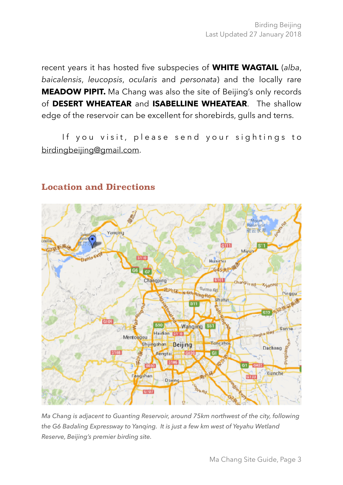recent years it has hosted five subspecies of **WHITE WAGTAIL** (*alba*, *baicalensis*, *leucopsis*, *ocularis* and *personata*) and the locally rare **MEADOW PIPIT.** Ma Chang was also the site of Beijing's only records of **DESERT WHEATEAR** and **ISABELLINE WHEATEAR**. The shallow edge of the reservoir can be excellent for shorebirds, gulls and terns.

If you visit, please send your sightings to [birdingbeijing@gmail.com.](mailto:birdingbeijing@gmail.com)



## **Location and Directions**

*Ma Chang is adjacent to Guanting Reservoir, around 75km northwest of the city, following the G6 Badaling Expressway to Yanqing. It is just a few km west of Yeyahu Wetland Reserve, Beijing's premier birding site.*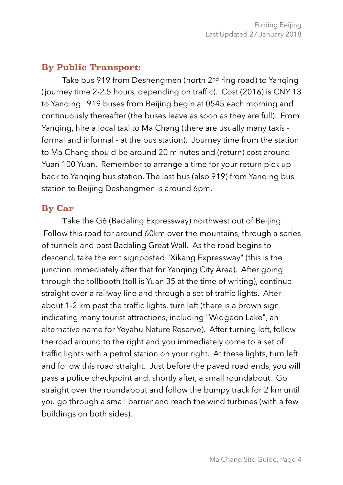#### **By Public Transport:**

Take bus 919 from Deshengmen (north 2<sup>nd</sup> ring road) to Yanging (journey time 2-2.5 hours, depending on traffic). Cost (2016) is CNY 13 to Yanqing. 919 buses from Beijing begin at 0545 each morning and continuously thereafter (the buses leave as soon as they are full). From Yanqing, hire a local taxi to Ma Chang (there are usually many taxis formal and informal - at the bus station). Journey time from the station to Ma Chang should be around 20 minutes and (return) cost around Yuan 100 Yuan. Remember to arrange a time for your return pick up back to Yanqing bus station. The last bus (also 919) from Yanqing bus station to Beijing Deshengmen is around 6pm.

#### **By Car**

Take the G6 (Badaling Expressway) northwest out of Beijing. Follow this road for around 60km over the mountains, through a series of tunnels and past Badaling Great Wall. As the road begins to descend, take the exit signposted "Xikang Expressway" (this is the junction immediately after that for Yanging City Area). After going through the tollbooth (toll is Yuan 35 at the time of writing), continue straight over a railway line and through a set of traffic lights. After about 1-2 km past the traffic lights, turn left (there is a brown sign indicating many tourist attractions, including "Widgeon Lake", an alternative name for Yeyahu Nature Reserve). After turning left, follow the road around to the right and you immediately come to a set of traffic lights with a petrol station on your right. At these lights, turn left and follow this road straight. Just before the paved road ends, you will pass a police checkpoint and, shortly after, a small roundabout. Go straight over the roundabout and follow the bumpy track for 2 km until you go through a small barrier and reach the wind turbines (with a few buildings on both sides).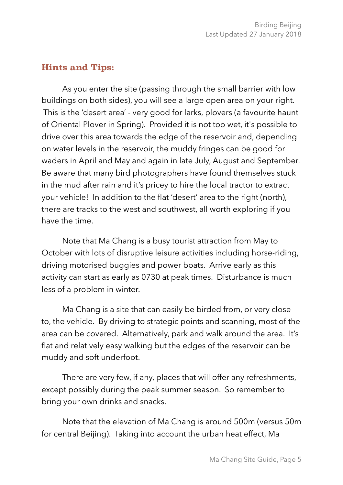## **Hints and Tips:**

As you enter the site (passing through the small barrier with low buildings on both sides), you will see a large open area on your right. This is the 'desert area' - very good for larks, plovers (a favourite haunt of Oriental Plover in Spring). Provided it is not too wet, it's possible to drive over this area towards the edge of the reservoir and, depending on water levels in the reservoir, the muddy fringes can be good for waders in April and May and again in late July, August and September. Be aware that many bird photographers have found themselves stuck in the mud after rain and it's pricey to hire the local tractor to extract your vehicle! In addition to the flat 'desert' area to the right (north), there are tracks to the west and southwest, all worth exploring if you have the time.

Note that Ma Chang is a busy tourist attraction from May to October with lots of disruptive leisure activities including horse-riding, driving motorised buggies and power boats. Arrive early as this activity can start as early as 0730 at peak times. Disturbance is much less of a problem in winter.

Ma Chang is a site that can easily be birded from, or very close to, the vehicle. By driving to strategic points and scanning, most of the area can be covered. Alternatively, park and walk around the area. It's flat and relatively easy walking but the edges of the reservoir can be muddy and soft underfoot.

There are very few, if any, places that will offer any refreshments, except possibly during the peak summer season. So remember to bring your own drinks and snacks.

Note that the elevation of Ma Chang is around 500m (versus 50m for central Beijing). Taking into account the urban heat effect, Ma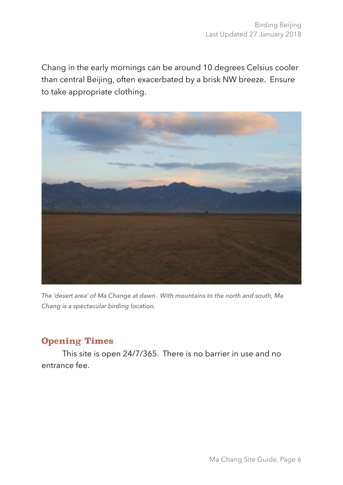Chang in the early mornings can be around 10 degrees Celsius cooler than central Beijing, often exacerbated by a brisk NW breeze. Ensure to take appropriate clothing.



*The 'desert area' of Ma Change at dawn. With mountains to the north and south, Ma Chang is a spectacular birding location.* 

## **Opening Times**

This site is open 24/7/365. There is no barrier in use and no entrance fee.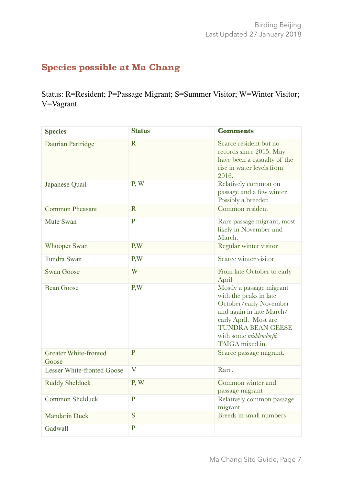## **Species possible at Ma Chang**

Status: R=Resident; P=Passage Migrant; S=Summer Visitor; W=Winter Visitor; V=Vagrant

| <b>Species</b>                        | <b>Status</b>  | <b>Comments</b>                                                                                                                                                                                            |
|---------------------------------------|----------------|------------------------------------------------------------------------------------------------------------------------------------------------------------------------------------------------------------|
| Daurian Partridge                     | $\mathbf R$    | Scarce resident but no<br>records since 2015. May<br>have been a casualty of the<br>rise in water levels from<br>2016.                                                                                     |
| Japanese Quail                        | P, W           | Relatively common on<br>passage and a few winter.<br>Possibly a breeder.                                                                                                                                   |
| <b>Common Pheasant</b>                | $\mathbf R$    | Common resident                                                                                                                                                                                            |
| Mute Swan                             | $\mathbf{P}$   | Rare passage migrant, most<br>likely in November and<br>March.                                                                                                                                             |
| <b>Whooper Swan</b>                   | P,W            | Regular winter visitor                                                                                                                                                                                     |
| Tundra Swan                           | P,W            | Scarce winter visitor                                                                                                                                                                                      |
| <b>Swan Goose</b>                     | W              | From late October to early<br>April                                                                                                                                                                        |
| <b>Bean Goose</b>                     | P,W            | Mostly a passage migrant<br>with the peaks in late<br>October/early November<br>and again in late March/<br>early April. Most are<br><b>TUNDRA BEAN GEESE</b><br>with some middendorfii<br>TAIGA mixed in. |
| <b>Greater White-fronted</b><br>Goose | $\mathbf{P}$   | Scarce passage migrant.                                                                                                                                                                                    |
| <b>Lesser White-fronted Goose</b>     | V              | Rare.                                                                                                                                                                                                      |
| <b>Ruddy Shelduck</b>                 | P, W           | Common winter and<br>passage migrant                                                                                                                                                                       |
| <b>Common Shelduck</b>                | $\overline{P}$ | Relatively common passage<br>migrant                                                                                                                                                                       |
| <b>Mandarin Duck</b>                  | S              | Breeds in small numbers                                                                                                                                                                                    |
| Gadwall                               | $\mathbf{P}$   |                                                                                                                                                                                                            |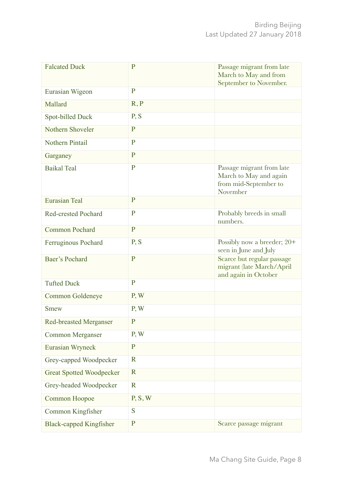| <b>Falcated Duck</b>            | $\mathbf P$  | Passage migrant from late<br>March to May and from<br>September to November.             |
|---------------------------------|--------------|------------------------------------------------------------------------------------------|
| Eurasian Wigeon                 | $\mathbf{P}$ |                                                                                          |
| Mallard                         | R, P         |                                                                                          |
| Spot-billed Duck                | P, S         |                                                                                          |
| Nothern Shoveler                | $\mathbf P$  |                                                                                          |
| <b>Nothern Pintail</b>          | $\mathbf{P}$ |                                                                                          |
| Garganey                        | $\mathbf{P}$ |                                                                                          |
| <b>Baikal Teal</b>              | $\mathbf{P}$ | Passage migrant from late<br>March to May and again<br>from mid-September to<br>November |
| <b>Eurasian Teal</b>            | $\mathbf P$  |                                                                                          |
| <b>Red-crested Pochard</b>      | $\mathbf{P}$ | Probably breeds in small<br>numbers.                                                     |
| <b>Common Pochard</b>           | $\mathbf P$  |                                                                                          |
| Ferruginous Pochard             | P, S         | Possibly now a breeder; 20+<br>seen in June and July                                     |
| <b>Baer's Pochard</b>           | $\mathbf{P}$ | Scarce but regular passage<br>migrant (late March/April<br>and again in October          |
| <b>Tufted Duck</b>              | $\mathbf{P}$ |                                                                                          |
| Common Goldeneye                | P, W         |                                                                                          |
| <b>Smew</b>                     | P, W         |                                                                                          |
| <b>Red-breasted Merganser</b>   | $\mathbf{P}$ |                                                                                          |
| <b>Common Merganser</b>         | P, W         |                                                                                          |
| Eurasian Wryneck                | $\mathbf P$  |                                                                                          |
| Grey-capped Woodpecker          | $\mathbf R$  |                                                                                          |
| <b>Great Spotted Woodpecker</b> | $\mathbf R$  |                                                                                          |
| Grey-headed Woodpecker          | $\mathbf R$  |                                                                                          |
| Common Hoopoe                   | P, S, W      |                                                                                          |
| Common Kingfisher               | S            |                                                                                          |
| <b>Black-capped Kingfisher</b>  | $\mathbf P$  | Scarce passage migrant                                                                   |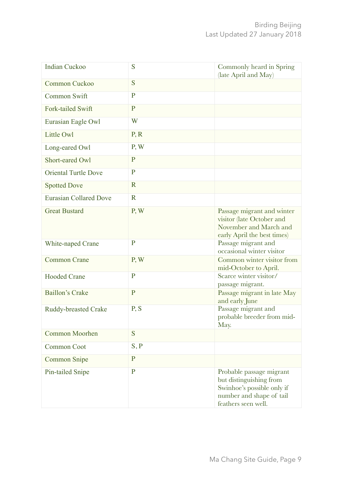| <b>Indian Cuckoo</b>          | S              | Commonly heard in Spring<br>(late April and May)                                                                                     |
|-------------------------------|----------------|--------------------------------------------------------------------------------------------------------------------------------------|
| Common Cuckoo                 | S              |                                                                                                                                      |
| Common Swift                  | $\mathbf{P}$   |                                                                                                                                      |
| Fork-tailed Swift             | $\mathbf{P}$   |                                                                                                                                      |
| Eurasian Eagle Owl            | W              |                                                                                                                                      |
| <b>Little Owl</b>             | P, R           |                                                                                                                                      |
| Long-eared Owl                | P, W           |                                                                                                                                      |
| Short-eared Owl               | $\mathbf{P}$   |                                                                                                                                      |
| <b>Oriental Turtle Dove</b>   | $\mathbf{P}$   |                                                                                                                                      |
| <b>Spotted Dove</b>           | $\mathbf R$    |                                                                                                                                      |
| <b>Eurasian Collared Dove</b> | $\mathbf R$    |                                                                                                                                      |
| <b>Great Bustard</b>          | P, W           | Passage migrant and winter<br>visitor (late October and<br>November and March and<br>early April the best times)                     |
| White-naped Crane             | P              | Passage migrant and<br>occasional winter visitor                                                                                     |
| <b>Common Crane</b>           | P, W           | Common winter visitor from<br>mid-October to April.                                                                                  |
| <b>Hooded Crane</b>           | $\mathbf{P}$   | Scarce winter visitor/<br>passage migrant.                                                                                           |
| <b>Baillon's Crake</b>        | $\mathbf{P}$   | Passage migrant in late May<br>and early June                                                                                        |
| <b>Ruddy-breasted Crake</b>   | P, S           | Passage migrant and<br>probable breeder from mid-<br>May.                                                                            |
| <b>Common Moorhen</b>         | S              |                                                                                                                                      |
| <b>Common Coot</b>            | S, P           |                                                                                                                                      |
| <b>Common Snipe</b>           | $\overline{P}$ |                                                                                                                                      |
| Pin-tailed Snipe              | $\mathbf{P}$   | Probable passage migrant<br>but distinguishing from<br>Swinhoe's possible only if<br>number and shape of tail<br>feathers seen well. |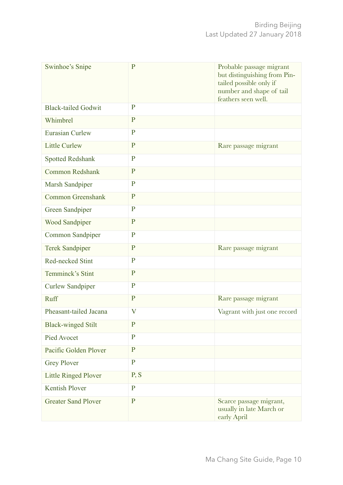| <b>Swinhoe's Snipe</b>      | $\mathbf{P}$   | Probable passage migrant<br>but distinguishing from Pin-<br>tailed possible only if<br>number and shape of tail<br>feathers seen well. |
|-----------------------------|----------------|----------------------------------------------------------------------------------------------------------------------------------------|
| <b>Black-tailed Godwit</b>  | P              |                                                                                                                                        |
| Whimbrel                    | $\mathbf{P}$   |                                                                                                                                        |
| <b>Eurasian Curlew</b>      | $\mathbf{P}$   |                                                                                                                                        |
| <b>Little Curlew</b>        | $\mathbf{P}$   | Rare passage migrant                                                                                                                   |
| <b>Spotted Redshank</b>     | $\mathbf{P}$   |                                                                                                                                        |
| <b>Common Redshank</b>      | $\mathbf{P}$   |                                                                                                                                        |
| Marsh Sandpiper             | $\mathbf{P}$   |                                                                                                                                        |
| <b>Common Greenshank</b>    | $\mathbf{P}$   |                                                                                                                                        |
| <b>Green Sandpiper</b>      | $\mathbf{P}$   |                                                                                                                                        |
| <b>Wood Sandpiper</b>       | $\mathbf{P}$   |                                                                                                                                        |
| Common Sandpiper            | $\mathbf{P}$   |                                                                                                                                        |
| <b>Terek Sandpiper</b>      | $\mathbf{P}$   | Rare passage migrant                                                                                                                   |
| <b>Red-necked Stint</b>     | $\mathbf{P}$   |                                                                                                                                        |
| Temminck's Stint            | $\overline{P}$ |                                                                                                                                        |
| <b>Curlew Sandpiper</b>     | $\mathbf{P}$   |                                                                                                                                        |
| Ruff                        | $\mathbf{P}$   | Rare passage migrant                                                                                                                   |
| Pheasant-tailed Jacana      | V              | Vagrant with just one record                                                                                                           |
| <b>Black-winged Stilt</b>   | $\mathbf P$    |                                                                                                                                        |
| <b>Pied Avocet</b>          | $\mathbf{P}$   |                                                                                                                                        |
| Pacific Golden Plover       | $\mathbf{P}$   |                                                                                                                                        |
| <b>Grey Plover</b>          | $\mathbf{P}$   |                                                                                                                                        |
| <b>Little Ringed Plover</b> | P, S           |                                                                                                                                        |
| <b>Kentish Plover</b>       | $\mathbf{P}$   |                                                                                                                                        |
| <b>Greater Sand Plover</b>  | $\mathbf{P}$   | Scarce passage migrant,<br>usually in late March or<br>early April                                                                     |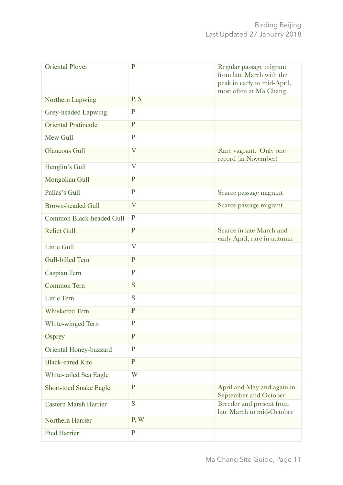| <b>Oriental Plover</b>        | $\mathbf{P}$            | Regular passage migrant<br>from late March with the<br>peak in early to mid-April,<br>most often at Ma Chang. |
|-------------------------------|-------------------------|---------------------------------------------------------------------------------------------------------------|
| Northern Lapwing              | P, S                    |                                                                                                               |
| Grey-headed Lapwing           | $\mathbf{P}$            |                                                                                                               |
| <b>Oriental Pratincole</b>    | $\mathbf P$             |                                                                                                               |
| Mew Gull                      | $\mathbf P$             |                                                                                                               |
| <b>Glaucous Gull</b>          | $\bf V$                 | Rare vagrant. Only one<br>record (in November)                                                                |
| Heuglin's Gull                | $\overline{\mathsf{V}}$ |                                                                                                               |
| Mongolian Gull                | $\mathbf P$             |                                                                                                               |
| Pallas's Gull                 | $\mathbf{P}$            | Scarce passage migrant                                                                                        |
| <b>Brown-headed Gull</b>      | $\mathbf V$             | Scarce passage migrant                                                                                        |
| Common Black-headed Gull      | $\mathbf{P}$            |                                                                                                               |
| <b>Relict Gull</b>            | $\mathbf P$             | Scarce in late March and<br>early April; rare in autumn                                                       |
| <b>Little Gull</b>            | $\mathbf V$             |                                                                                                               |
| Gull-billed Tern              | $\overline{P}$          |                                                                                                               |
| Caspian Tern                  | $\mathbf P$             |                                                                                                               |
| Common Tern                   | S                       |                                                                                                               |
| <b>Little Tern</b>            | S                       |                                                                                                               |
| <b>Whiskered Tern</b>         | $\mathbf P$             |                                                                                                               |
| White-winged Tern             | P                       |                                                                                                               |
| Osprey                        | $\mathbf P$             |                                                                                                               |
| Oriental Honey-buzzard        | $\mathbf{P}$            |                                                                                                               |
| <b>Black-eared Kite</b>       | ${\bf P}$               |                                                                                                               |
| White-tailed Sea Eagle        | W                       |                                                                                                               |
| <b>Short-toed Snake Eagle</b> | $\mathbf P$             | April and May and again in<br>September and October                                                           |
| <b>Eastern Marsh Harrier</b>  | S                       | Breeder and present from<br>late March to mid-October                                                         |
| Northern Harrier              | P, W                    |                                                                                                               |
| Pied Harrier                  | $\mathbf{P}$            |                                                                                                               |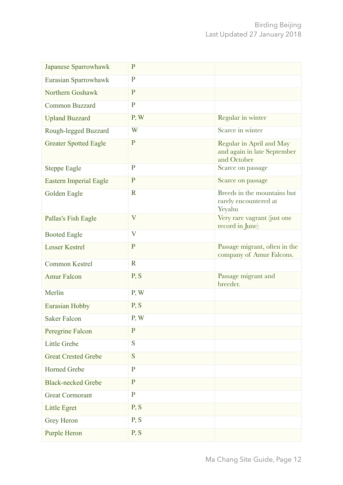| Japanese Sparrowhawk          | $\mathbf{P}$              |                                                                        |
|-------------------------------|---------------------------|------------------------------------------------------------------------|
| Eurasian Sparrowhawk          | $\mathbf P$               |                                                                        |
| Northern Goshawk              | $\mathbf P$               |                                                                        |
| <b>Common Buzzard</b>         | $\mathbf P$               |                                                                        |
| <b>Upland Buzzard</b>         | P, W                      | Regular in winter                                                      |
| Rough-legged Buzzard          | W                         | Scarce in winter                                                       |
| <b>Greater Spotted Eagle</b>  | $\mathbf P$               | Regular in April and May<br>and again in late September<br>and October |
| <b>Steppe Eagle</b>           | $\mathbf{P}$              | Scarce on passage                                                      |
| <b>Eastern Imperial Eagle</b> | $\mathbf P$               | Scarce on passage                                                      |
| Golden Eagle                  | $\mathbf R$               | Breeds in the mountains but<br>rarely encountered at<br>Yeyahu         |
| Pallas's Fish Eagle           | $\overline{\mathbf{V}}$   | Very rare vagrant (just one<br>record in June)                         |
| <b>Booted Eagle</b>           | $\boldsymbol{\mathrm{V}}$ |                                                                        |
| <b>Lesser Kestrel</b>         | $\mathbf P$               | Passage migrant, often in the<br>company of Amur Falcons.              |
| <b>Common Kestrel</b>         | $\mathbf R$               |                                                                        |
| <b>Amur Falcon</b>            | P, S                      | Passage migrant and<br>breeder.                                        |
| Merlin                        | P, W                      |                                                                        |
| <b>Eurasian Hobby</b>         | P, S                      |                                                                        |
| <b>Saker Falcon</b>           | P, W                      |                                                                        |
| Peregrine Falcon              | $\mathbf P$               |                                                                        |
| Little Grebe                  | S                         |                                                                        |
| <b>Great Crested Grebe</b>    | S                         |                                                                        |
| <b>Horned Grebe</b>           | $\mathbf{P}$              |                                                                        |
| <b>Black-necked Grebe</b>     | $\mathbf P$               |                                                                        |
| <b>Great Cormorant</b>        | $\mathbf P$               |                                                                        |
| <b>Little Egret</b>           | P, S                      |                                                                        |
| Grey Heron                    | P, S                      |                                                                        |
| <b>Purple Heron</b>           | P, S                      |                                                                        |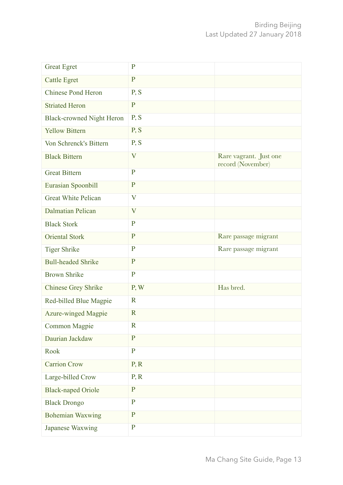| <b>Great Egret</b>               | $\mathbf P$  |                                             |
|----------------------------------|--------------|---------------------------------------------|
| <b>Cattle Egret</b>              | $\mathbf P$  |                                             |
| <b>Chinese Pond Heron</b>        | P, S         |                                             |
| <b>Striated Heron</b>            | ${\bf P}$    |                                             |
| <b>Black-crowned Night Heron</b> | P, S         |                                             |
| <b>Yellow Bittern</b>            | P, S         |                                             |
| Von Schrenck's Bittern           | P, S         |                                             |
| <b>Black Bittern</b>             | V            | Rare vagrant. Just one<br>record (November) |
| <b>Great Bittern</b>             | $\mathbf{P}$ |                                             |
| Eurasian Spoonbill               | ${\bf P}$    |                                             |
| <b>Great White Pelican</b>       | V            |                                             |
| <b>Dalmatian Pelican</b>         | V            |                                             |
| <b>Black Stork</b>               | $\mathbf P$  |                                             |
| <b>Oriental Stork</b>            | $\mathbf{P}$ | Rare passage migrant                        |
| <b>Tiger Shrike</b>              | $\mathbf{P}$ | Rare passage migrant                        |
| <b>Bull-headed Shrike</b>        | $\mathbf P$  |                                             |
| <b>Brown Shrike</b>              | $\mathbf P$  |                                             |
| <b>Chinese Grey Shrike</b>       | P, W         | Has bred.                                   |
| Red-billed Blue Magpie           | $\mathbf R$  |                                             |
| <b>Azure-winged Magpie</b>       | $\mathbf R$  |                                             |
| <b>Common Magpie</b>             | $\mathbf R$  |                                             |
| Daurian Jackdaw                  | $\mathbf{P}$ |                                             |
| Rook                             | $\mathbf{P}$ |                                             |
| <b>Carrion Crow</b>              | P, R         |                                             |
| Large-billed Crow                | P, R         |                                             |
| <b>Black-naped Oriole</b>        | $\mathbf P$  |                                             |
| <b>Black Drongo</b>              | $\mathbf P$  |                                             |
| <b>Bohemian Waxwing</b>          | $\mathbf{P}$ |                                             |
| Japanese Waxwing                 | $\mathbf P$  |                                             |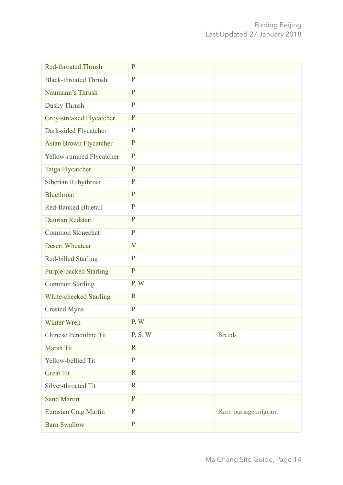| <b>Red-throated Thrush</b>    | $\mathbf P$             |                      |
|-------------------------------|-------------------------|----------------------|
| <b>Black-throated Thrush</b>  | $\mathbf P$             |                      |
| Naumann's Thrush              | $\mathbf P$             |                      |
| Dusky Thrush                  | $\mathbf{P}$            |                      |
| Grey-streaked Flycatcher      | $\mathbf P$             |                      |
| Dark-sided Flycatcher         | $\mathbf{P}$            |                      |
| Asian Brown Flycatcher        | $\mathbf{P}$            |                      |
| Yellow-rumped Flycatcher      | $\mathbf{P}$            |                      |
| Taiga Flycatcher              | $\mathbf P$             |                      |
| Siberian Rubythroat           | $\mathbf{P}$            |                      |
| <b>Bluethroat</b>             | $\mathbf P$             |                      |
| <b>Red-flanked Bluetail</b>   | $\mathbf{P}$            |                      |
| Daurian Redstart              | $\mathbf P$             |                      |
| <b>Common Stonechat</b>       | $\mathbf{P}$            |                      |
| <b>Desert Wheatear</b>        | $\overline{\mathbf{V}}$ |                      |
| <b>Red-billed Starling</b>    | $\mathbf{P}$            |                      |
| <b>Purple-backed Starling</b> | $\mathbf{P}$            |                      |
| <b>Common Starling</b>        | P, W                    |                      |
| White-cheeked Starling        | $\mathbf R$             |                      |
| <b>Crested Myna</b>           | $\mathbf{P}$            |                      |
| Winter Wren                   | P, W                    |                      |
| <b>Chinese Penduline Tit</b>  | P, S, W                 | <b>Breeds</b>        |
| Marsh Tit                     | $\mathbf R$             |                      |
| Yellow-bellied Tit            | $\mathbf P$             |                      |
| <b>Great Tit</b>              | $\mathbf R$             |                      |
| Silver-throated Tit           | $\mathbf R$             |                      |
| <b>Sand Martin</b>            | P                       |                      |
| Eurasian Crag Martin          | $\mathbf{P}$            | Rare passage migrant |
| <b>Barn Swallow</b>           | ${\bf P}$               |                      |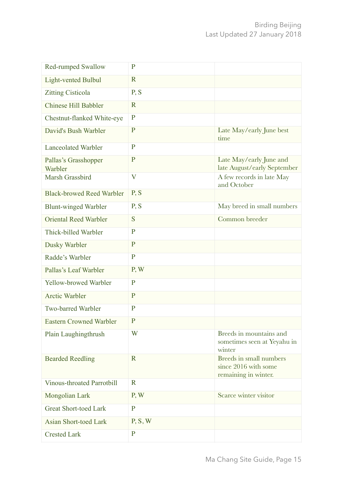| <b>Red-rumped Swallow</b>         | $\mathbf P$  |                                                                         |
|-----------------------------------|--------------|-------------------------------------------------------------------------|
| <b>Light-vented Bulbul</b>        | $\mathbf R$  |                                                                         |
| <b>Zitting Cisticola</b>          | P, S         |                                                                         |
| <b>Chinese Hill Babbler</b>       | $\mathbf R$  |                                                                         |
| Chestnut-flanked White-eye        | $\mathbf{P}$ |                                                                         |
| David's Bush Warbler              | $\mathbf P$  | Late May/early June best<br>time                                        |
| <b>Lanceolated Warbler</b>        | $\mathbf{P}$ |                                                                         |
| Pallas's Grasshopper<br>Warbler   | $\mathbf{P}$ | Late May/early June and<br>late August/early September                  |
| Marsh Grassbird                   | $\mathbf V$  | A few records in late May<br>and October                                |
| <b>Black-browed Reed Warbler</b>  | P, S         |                                                                         |
| <b>Blunt-winged Warbler</b>       | P, S         | May breed in small numbers                                              |
| <b>Oriental Reed Warbler</b>      | S            | Common breeder                                                          |
| Thick-billed Warbler              | $\mathbf{P}$ |                                                                         |
| Dusky Warbler                     | $\mathbf P$  |                                                                         |
| Radde's Warbler                   | $\mathbf{P}$ |                                                                         |
| Pallas's Leaf Warbler             | P, W         |                                                                         |
| Yellow-browed Warbler             | $\mathbf{P}$ |                                                                         |
| <b>Arctic Warbler</b>             | $\mathbf P$  |                                                                         |
| <b>Two-barred Warbler</b>         | $\mathbf{P}$ |                                                                         |
| <b>Eastern Crowned Warbler</b>    | $\mathbf{P}$ |                                                                         |
| Plain Laughingthrush              | W            | Breeds in mountains and<br>sometimes seen at Yeyahu in<br>winter        |
| <b>Bearded Reedling</b>           | $\mathbf R$  | Breeds in small numbers<br>since 2016 with some<br>remaining in winter. |
| <b>Vinous-throated Parrotbill</b> | $\mathbf R$  |                                                                         |
| Mongolian Lark                    | P, W         | Scarce winter visitor                                                   |
| <b>Great Short-toed Lark</b>      | $\mathbf{P}$ |                                                                         |
| <b>Asian Short-toed Lark</b>      | P, S, W      |                                                                         |
| <b>Crested Lark</b>               | $\mathbf P$  |                                                                         |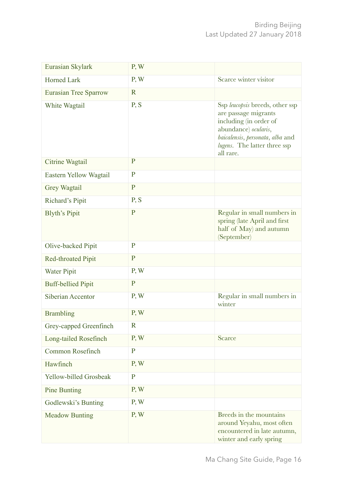| Eurasian Skylark              | P, W         |                                                                                                                                                                                            |
|-------------------------------|--------------|--------------------------------------------------------------------------------------------------------------------------------------------------------------------------------------------|
| <b>Horned Lark</b>            | P, W         | Scarce winter visitor                                                                                                                                                                      |
| <b>Eurasian Tree Sparrow</b>  | $\mathbf R$  |                                                                                                                                                                                            |
| White Wagtail                 | P, S         | Ssp leucopsis breeds, other ssp<br>are passage migrants<br>including (in order of<br>abundance) ocularis,<br>baicalensis, personata, alba and<br>lugens. The latter three ssp<br>all rare. |
| Citrine Wagtail               | $\mathbf{P}$ |                                                                                                                                                                                            |
| Eastern Yellow Wagtail        | $\mathbf{P}$ |                                                                                                                                                                                            |
| Grey Wagtail                  | $\mathbf{P}$ |                                                                                                                                                                                            |
| <b>Richard's Pipit</b>        | P, S         |                                                                                                                                                                                            |
| <b>Blyth's Pipit</b>          | $\mathbf P$  | Regular in small numbers in<br>spring (late April and first<br>half of May) and autumn<br>(September)                                                                                      |
| Olive-backed Pipit            | $\mathbf{P}$ |                                                                                                                                                                                            |
| <b>Red-throated Pipit</b>     | $\mathbf P$  |                                                                                                                                                                                            |
| <b>Water Pipit</b>            | P, W         |                                                                                                                                                                                            |
| <b>Buff-bellied Pipit</b>     | $\mathbf P$  |                                                                                                                                                                                            |
| Siberian Accentor             | P, W         | Regular in small numbers in<br>winter                                                                                                                                                      |
| <b>Brambling</b>              | P, W         |                                                                                                                                                                                            |
| Grey-capped Greenfinch        | $\mathbf R$  |                                                                                                                                                                                            |
| Long-tailed Rosefinch         | P, W         | <b>Scarce</b>                                                                                                                                                                              |
| Common Rosefinch              | $\mathbf{P}$ |                                                                                                                                                                                            |
| Hawfinch                      | P, W         |                                                                                                                                                                                            |
| <b>Yellow-billed Grosbeak</b> | $\mathbf{P}$ |                                                                                                                                                                                            |
| <b>Pine Bunting</b>           | P, W         |                                                                                                                                                                                            |
| Godlewski's Bunting           | P, W         |                                                                                                                                                                                            |
| <b>Meadow Bunting</b>         | P, W         | Breeds in the mountains<br>around Yeyahu, most often<br>encountered in late autumn,<br>winter and early spring                                                                             |